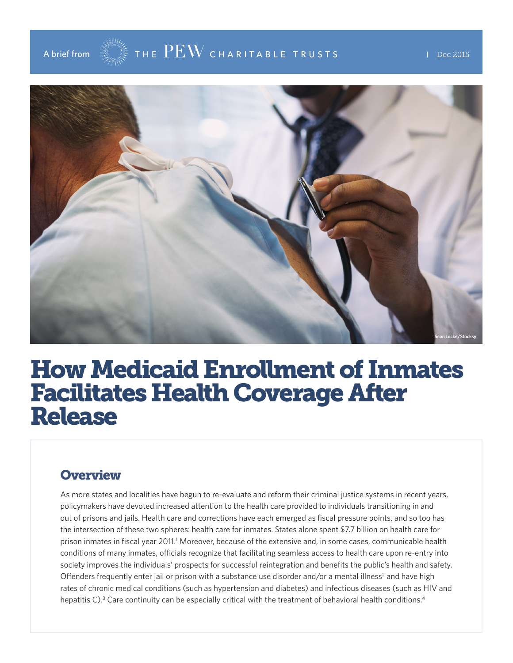

# How Medicaid Enrollment of Inmates Facilitates Health Coverage After Release

### **Overview**

As more states and localities have begun to re-evaluate and reform their criminal justice systems in recent years, policymakers have devoted increased attention to the health care provided to individuals transitioning in and out of prisons and jails. Health care and corrections have each emerged as fiscal pressure points, and so too has the intersection of these two spheres: health care for inmates. States alone spent \$7.7 billion on health care for prison inmates in fiscal year 2011.<sup>1</sup> Moreover, because of the extensive and, in some cases, communicable health conditions of many inmates, officials recognize that facilitating seamless access to health care upon re-entry into society improves the individuals' prospects for successful reintegration and benefits the public's health and safety. Offenders frequently enter jail or prison with a substance use disorder and/or a mental illness<sup>2</sup> and have high rates of chronic medical conditions (such as hypertension and diabetes) and infectious diseases (such as HIV and hepatitis C).<sup>3</sup> Care continuity can be especially critical with the treatment of behavioral health conditions.<sup>4</sup>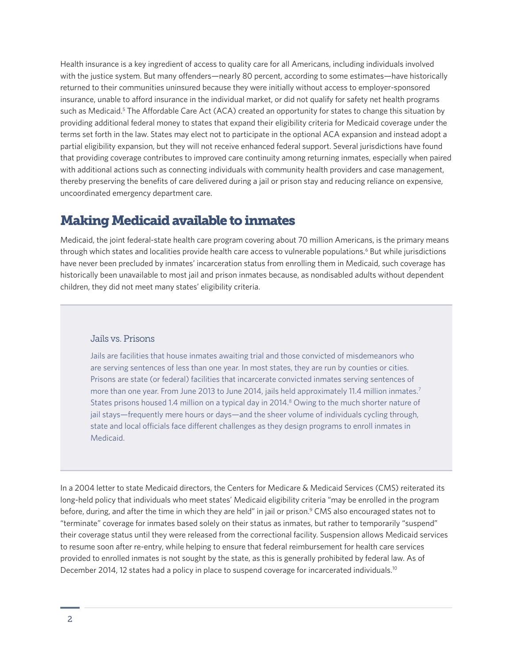Health insurance is a key ingredient of access to quality care for all Americans, including individuals involved with the justice system. But many offenders—nearly 80 percent, according to some estimates—have historically returned to their communities uninsured because they were initially without access to employer-sponsored insurance, unable to afford insurance in the individual market, or did not qualify for safety net health programs such as Medicaid.<sup>5</sup> The Affordable Care Act (ACA) created an opportunity for states to change this situation by providing additional federal money to states that expand their eligibility criteria for Medicaid coverage under the terms set forth in the law. States may elect not to participate in the optional ACA expansion and instead adopt a partial eligibility expansion, but they will not receive enhanced federal support. Several jurisdictions have found that providing coverage contributes to improved care continuity among returning inmates, especially when paired with additional actions such as connecting individuals with community health providers and case management, thereby preserving the benefits of care delivered during a jail or prison stay and reducing reliance on expensive, uncoordinated emergency department care.

### Making Medicaid available to inmates

Medicaid, the joint federal-state health care program covering about 70 million Americans, is the primary means through which states and localities provide health care access to vulnerable populations.<sup>6</sup> But while jurisdictions have never been precluded by inmates' incarceration status from enrolling them in Medicaid, such coverage has historically been unavailable to most jail and prison inmates because, as nondisabled adults without dependent children, they did not meet many states' eligibility criteria.

#### Jails vs. Prisons

Jails are facilities that house inmates awaiting trial and those convicted of misdemeanors who are serving sentences of less than one year. In most states, they are run by counties or cities. Prisons are state (or federal) facilities that incarcerate convicted inmates serving sentences of more than one year. From June 2013 to June 2014, jails held approximately 11.4 million inmates.<sup>7</sup> States prisons housed 1.4 million on a typical day in 2014.<sup>8</sup> Owing to the much shorter nature of jail stays—frequently mere hours or days—and the sheer volume of individuals cycling through, state and local officials face different challenges as they design programs to enroll inmates in Medicaid.

In a 2004 letter to state Medicaid directors, the Centers for Medicare & Medicaid Services (CMS) reiterated its long-held policy that individuals who meet states' Medicaid eligibility criteria "may be enrolled in the program before, during, and after the time in which they are held" in jail or prison.<sup>9</sup> CMS also encouraged states not to "terminate" coverage for inmates based solely on their status as inmates, but rather to temporarily "suspend" their coverage status until they were released from the correctional facility. Suspension allows Medicaid services to resume soon after re-entry, while helping to ensure that federal reimbursement for health care services provided to enrolled inmates is not sought by the state, as this is generally prohibited by federal law. As of December 2014, 12 states had a policy in place to suspend coverage for incarcerated individuals.<sup>10</sup>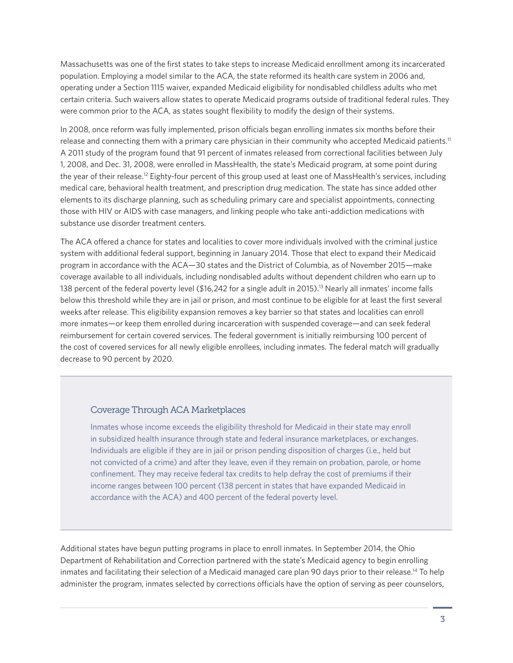Massachusetts was one of the first states to take steps to increase Medicaid enrollment among its incarcerated population. Employing a model similar to the ACA, the state reformed its health care system in 2006 and, operating under a Section 1115 waiver, expanded Medicaid eligibility for nondisabled childless adults who met certain criteria. Such waivers allow states to operate Medicaid programs outside of traditional federal rules. They were common prior to the ACA, as states sought flexibility to modify the design of their systems.

In 2008, once reform was fully implemented, prison officials began enrolling inmates six months before their release and connecting them with a primary care physician in their community who accepted Medicaid patients.<sup>11</sup> A 2011 study of the program found that 91 percent of inmates released from correctional facilities between July 1, 2008, and Dec. 31, 2008, were enrolled in MassHealth, the state's Medicaid program, at some point during the year of their release.<sup>12</sup> Eighty-four percent of this group used at least one of MassHealth's services, including medical care, behavioral health treatment, and prescription drug medication. The state has since added other elements to its discharge planning, such as scheduling primary care and specialist appointments, connecting those with HIV or AIDS with case managers, and linking people who take anti-addiction medications with substance use disorder treatment centers.

The ACA offered a chance for states and localities to cover more individuals involved with the criminal justice system with additional federal support, beginning in January 2014. Those that elect to expand their Medicaid program in accordance with the ACA—30 states and the District of Columbia, as of November 2015—make coverage available to all individuals, including nondisabled adults without dependent children who earn up to 138 percent of the federal poverty level (\$16,242 for a single adult in 2015).<sup>13</sup> Nearly all inmates' income falls below this threshold while they are in jail or prison, and most continue to be eligible for at least the first several weeks after release. This eligibility expansion removes a key barrier so that states and localities can enroll more inmates—or keep them enrolled during incarceration with suspended coverage—and can seek federal reimbursement for certain covered services. The federal government is initially reimbursing 100 percent of the cost of covered services for all newly eligible enrollees, including inmates. The federal match will gradually decrease to 90 percent by 2020.

#### Coverage Through ACA Marketplaces

Inmates whose income exceeds the eligibility threshold for Medicaid in their state may enroll in subsidized health insurance through state and federal insurance marketplaces, or exchanges. Individuals are eligible if they are in jail or prison pending disposition of charges (i.e., held but not convicted of a crime) and after they leave, even if they remain on probation, parole, or home confinement. They may receive federal tax credits to help defray the cost of premiums if their income ranges between 100 percent (138 percent in states that have expanded Medicaid in accordance with the ACA) and 400 percent of the federal poverty level.

Additional states have begun putting programs in place to enroll inmates. In September 2014, the Ohio Department of Rehabilitation and Correction partnered with the state's Medicaid agency to begin enrolling inmates and facilitating their selection of a Medicaid managed care plan 90 days prior to their release.14 To help administer the program, inmates selected by corrections officials have the option of serving as peer counselors,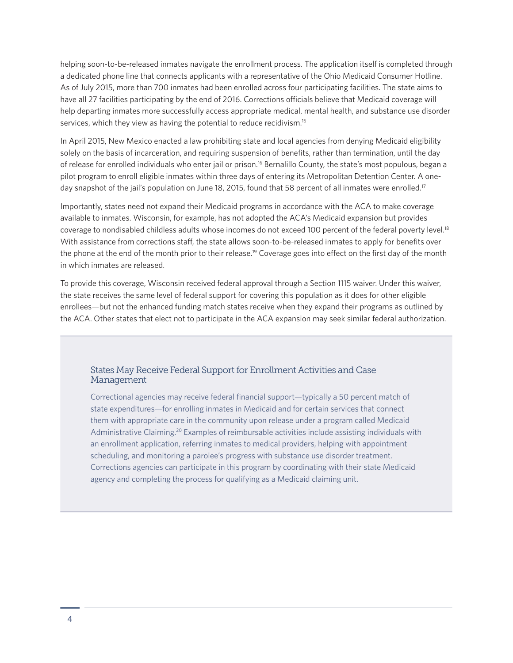helping soon-to-be-released inmates navigate the enrollment process. The application itself is completed through a dedicated phone line that connects applicants with a representative of the Ohio Medicaid Consumer Hotline. As of July 2015, more than 700 inmates had been enrolled across four participating facilities. The state aims to have all 27 facilities participating by the end of 2016. Corrections officials believe that Medicaid coverage will help departing inmates more successfully access appropriate medical, mental health, and substance use disorder services, which they view as having the potential to reduce recidivism.<sup>15</sup>

In April 2015, New Mexico enacted a law prohibiting state and local agencies from denying Medicaid eligibility solely on the basis of incarceration, and requiring suspension of benefits, rather than termination, until the day of release for enrolled individuals who enter jail or prison.16 Bernalillo County, the state's most populous, began a pilot program to enroll eligible inmates within three days of entering its Metropolitan Detention Center. A oneday snapshot of the jail's population on June 18, 2015, found that 58 percent of all inmates were enrolled.<sup>17</sup>

Importantly, states need not expand their Medicaid programs in accordance with the ACA to make coverage available to inmates. Wisconsin, for example, has not adopted the ACA's Medicaid expansion but provides coverage to nondisabled childless adults whose incomes do not exceed 100 percent of the federal poverty level.<sup>18</sup> With assistance from corrections staff, the state allows soon-to-be-released inmates to apply for benefits over the phone at the end of the month prior to their release.19 Coverage goes into effect on the first day of the month in which inmates are released.

To provide this coverage, Wisconsin received federal approval through a Section 1115 waiver. Under this waiver, the state receives the same level of federal support for covering this population as it does for other eligible enrollees—but not the enhanced funding match states receive when they expand their programs as outlined by the ACA. Other states that elect not to participate in the ACA expansion may seek similar federal authorization.

#### States May Receive Federal Support for Enrollment Activities and Case Management

Correctional agencies may receive federal financial support—typically a 50 percent match of state expenditures—for enrolling inmates in Medicaid and for certain services that connect them with appropriate care in the community upon release under a program called Medicaid Administrative Claiming.20 Examples of reimbursable activities include assisting individuals with an enrollment application, referring inmates to medical providers, helping with appointment scheduling, and monitoring a parolee's progress with substance use disorder treatment. Corrections agencies can participate in this program by coordinating with their state Medicaid agency and completing the process for qualifying as a Medicaid claiming unit.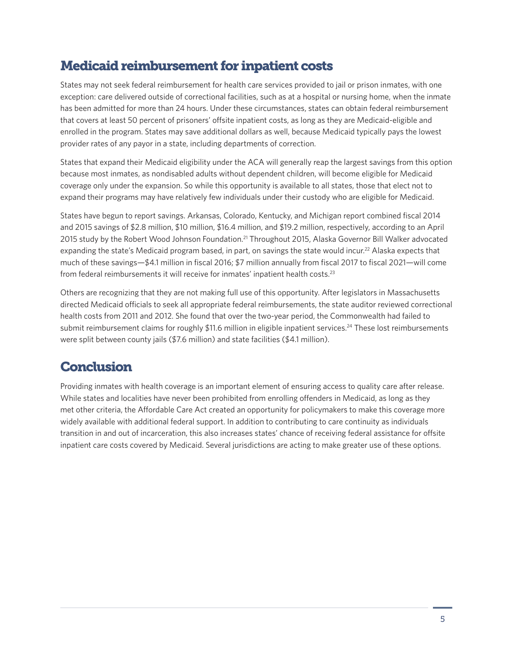# Medicaid reimbursement for inpatient costs

States may not seek federal reimbursement for health care services provided to jail or prison inmates, with one exception: care delivered outside of correctional facilities, such as at a hospital or nursing home, when the inmate has been admitted for more than 24 hours. Under these circumstances, states can obtain federal reimbursement that covers at least 50 percent of prisoners' offsite inpatient costs, as long as they are Medicaid-eligible and enrolled in the program. States may save additional dollars as well, because Medicaid typically pays the lowest provider rates of any payor in a state, including departments of correction.

States that expand their Medicaid eligibility under the ACA will generally reap the largest savings from this option because most inmates, as nondisabled adults without dependent children, will become eligible for Medicaid coverage only under the expansion. So while this opportunity is available to all states, those that elect not to expand their programs may have relatively few individuals under their custody who are eligible for Medicaid.

States have begun to report savings. Arkansas, Colorado, Kentucky, and Michigan report combined fiscal 2014 and 2015 savings of \$2.8 million, \$10 million, \$16.4 million, and \$19.2 million, respectively, according to an April 2015 study by the Robert Wood Johnson Foundation.<sup>21</sup> Throughout 2015, Alaska Governor Bill Walker advocated expanding the state's Medicaid program based, in part, on savings the state would incur.<sup>22</sup> Alaska expects that much of these savings—\$4.1 million in fiscal 2016; \$7 million annually from fiscal 2017 to fiscal 2021—will come from federal reimbursements it will receive for inmates' inpatient health costs.23

Others are recognizing that they are not making full use of this opportunity. After legislators in Massachusetts directed Medicaid officials to seek all appropriate federal reimbursements, the state auditor reviewed correctional health costs from 2011 and 2012. She found that over the two-year period, the Commonwealth had failed to submit reimbursement claims for roughly \$11.6 million in eligible inpatient services.<sup>24</sup> These lost reimbursements were split between county jails (\$7.6 million) and state facilities (\$4.1 million).

## **Conclusion**

Providing inmates with health coverage is an important element of ensuring access to quality care after release. While states and localities have never been prohibited from enrolling offenders in Medicaid, as long as they met other criteria, the Affordable Care Act created an opportunity for policymakers to make this coverage more widely available with additional federal support. In addition to contributing to care continuity as individuals transition in and out of incarceration, this also increases states' chance of receiving federal assistance for offsite inpatient care costs covered by Medicaid. Several jurisdictions are acting to make greater use of these options.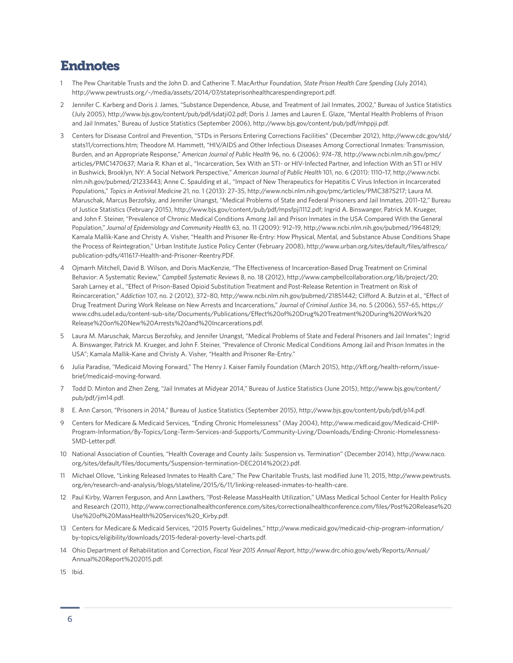### Endnotes

- 1 The Pew Charitable Trusts and the John D. and Catherine T. MacArthur Foundation, *State Prison Health Care Spending* (July 2014)*,* <http://www.pewtrusts.org/~/media/assets/2014/07/stateprisonhealthcarespendingreport.pdf>.
- 2 Jennifer C. Karberg and Doris J. James, "Substance Dependence, Abuse, and Treatment of Jail Inmates, 2002," Bureau of Justice Statistics (July 2005), [http://www.bjs.gov/content/pub/pdf/sdatji02.pdf;](http://www.bjs.gov/content/pub/pdf/sdatji02.pdf) Doris J. James and Lauren E. Glaze, "Mental Health Problems of Prison and Jail Inmates," Bureau of Justice Statistics (September 2006), [http://www.bjs.gov/content/pub/pdf/mhppji.pdf.](http://www.bjs.gov/content/pub/pdf/mhppji.pdf)
- 3 Centers for Disease Control and Prevention, "STDs in Persons Entering Corrections Facilities" (December 2012), [http://www.cdc.gov/std/](http://www.cdc.gov/std/stats11/corrections.htm) [stats11/corrections.htm](http://www.cdc.gov/std/stats11/corrections.htm); Theodore M. Hammett, "HIV/AIDS and Other Infectious Diseases Among Correctional Inmates: Transmission, Burden, and an Appropriate Response," *American Journal of Public Health* 96, no. 6 (2006): *974–78*, [http://www.ncbi.nlm.nih.gov/pmc/](http://www.ncbi.nlm.nih.gov/pmc/articles/PMC1470637/) [articles/PMC1470637](http://www.ncbi.nlm.nih.gov/pmc/articles/PMC1470637/); Maria R. Khan et al., "Incarceration, Sex With an STI- or HIV-Infected Partner, and Infection With an STI or HIV in Bushwick, Brooklyn, NY: A Social Network Perspective," *American Journal of Public Health* 101, no. 6 (2011): 1110–17, [http://www.ncbi.](http://www.ncbi.nlm.nih.gov/pubmed/21233443) [nlm.nih.gov/pubmed/21233443;](http://www.ncbi.nlm.nih.gov/pubmed/21233443) Anne C. Spaulding et al., "Impact of New Therapeutics for Hepatitis C Virus Infection in Incarcerated Populations," *Topics in Antiviral Medicine* 21, no. 1 (2013): 27–35, [http://www.ncbi.nlm.nih.gov/pmc/articles/PMC3875217;](http://www.ncbi.nlm.nih.gov/pmc/articles/PMC3875217) Laura M. Maruschak, Marcus Berzofsky, and Jennifer Unangst, "Medical Problems of State and Federal Prisoners and Jail Inmates, 2011–12," Bureau of Justice Statistics (February 2015), [http://www.bjs.gov/content/pub/pdf/mpsfpji1112.pdf;](http://www.bjs.gov/content/pub/pdf/mpsfpji1112.pdf) Ingrid A. Binswanger, Patrick M. Krueger, and John F. Steiner, "Prevalence of Chronic Medical Conditions Among Jail and Prison Inmates in the USA Compared With the General Population," *Journal of Epidemiology and Community Health* 63, no. 11 (2009): 912–19, <http://www.ncbi.nlm.nih.gov/pubmed/19648129>; Kamala Mallik-Kane and Christy A. Visher, "Health and Prisoner Re-Entry: How Physical, Mental, and Substance Abuse Conditions Shape the Process of Reintegration," Urban Institute Justice Policy Center (February 2008), [http://www.urban.org/sites/default/files/alfresco/](http://www.urban.org/sites/default/files/alfresco/publication-pdfs/411617-Health-and-Prisoner-Reentry.PDF) [publication-pdfs/411617-Health-and-Prisoner-Reentry.PDF](http://www.urban.org/sites/default/files/alfresco/publication-pdfs/411617-Health-and-Prisoner-Reentry.PDF).
- 4 Ojmarrh Mitchell, David B. Wilson, and Doris MacKenzie, "The Effectiveness of Incarceration-Based Drug Treatment on Criminal Behavior: A Systematic Review," *Campbell Systematic Reviews* 8, no. 18 (2012), [http://www.campbellcollaboration.org/lib/project/20;](http://www.campbellcollaboration.org/lib/project/20/) Sarah Larney et al., "Effect of Prison-Based Opioid Substitution Treatment and Post-Release Retention in Treatment on Risk of Reincarceration," *Addiction* 107, no. 2 (2012), 372–80, [http://www.ncbi.nlm.nih.gov/pubmed/21851442;](http://www.ncbi.nlm.nih.gov/pubmed/21851442) Clifford A. Butzin et al., "Effect of Drug Treatment During Work Release on New Arrests and Incarcerations," *Journal of Criminal Justice* 34, no. 5 (2006), 557–65, [https://](https://www.cdhs.udel.edu/content-sub-site/Documents/Publications/Effect%20of%20Drug%20Treatment%20During%20Work%20Release%20on%20New%20Arrests%20and%20Incarcerations.pdf) [www.cdhs.udel.edu/content-sub-site/Documents/Publications/Effect%20of%20Drug%20Treatment%20During%20Work%20](https://www.cdhs.udel.edu/content-sub-site/Documents/Publications/Effect%20of%20Drug%20Treatment%20During%20Work%20Release%20on%20New%20Arrests%20and%20Incarcerations.pdf) [Release%20on%20New%20Arrests%20and%20Incarcerations.pdf.](https://www.cdhs.udel.edu/content-sub-site/Documents/Publications/Effect%20of%20Drug%20Treatment%20During%20Work%20Release%20on%20New%20Arrests%20and%20Incarcerations.pdf)
- 5 Laura M. Maruschak, Marcus Berzofsky, and Jennifer Unangst, "Medical Problems of State and Federal Prisoners and Jail Inmates"; Ingrid A. Binswanger, Patrick M. Krueger, and John F. Steiner, "Prevalence of Chronic Medical Conditions Among Jail and Prison Inmates in the USA"; Kamala Mallik-Kane and Christy A. Visher, "Health and Prisoner Re-Entry."
- 6 Julia Paradise, "Medicaid Moving Forward," The Henry J. Kaiser Family Foundation (March 2015), [http://kff.org/health-reform/issue](http://kff.org/health-reform/issue-brief/medicaid-moving-forward/)[brief/medicaid-moving-forward.](http://kff.org/health-reform/issue-brief/medicaid-moving-forward/)
- 7 Todd D. Minton and Zhen Zeng, "Jail Inmates at Midyear 2014," Bureau of Justice Statistics (June 2015), http://www.bjs.gov/content/ pub/pdf/jim14.pdf.
- 8 E. Ann Carson, "Prisoners in 2014," Bureau of Justice Statistics (September 2015), [http://www.bjs.gov/content/pub/pdf/p14.pdf.](http://www.bjs.gov/content/pub/pdf/p14.pdf)
- 9 Centers for Medicare & Medicaid Services, "Ending Chronic Homelessness" (May 2004), [http://www.medicaid.gov/Medicaid-CHIP-](http://www.medicaid.gov/Medicaid-CHIP-Program-Information/By-Topics/Long-Term-Services-and-Supports/Community-Living/Downloads/Ending-Chronic-Homelessness-SMD-Letter.pdf)[Program-Information/By-Topics/Long-Term-Services-and-Supports/Community-Living/Downloads/Ending-Chronic-Homelessness-](http://www.medicaid.gov/Medicaid-CHIP-Program-Information/By-Topics/Long-Term-Services-and-Supports/Community-Living/Downloads/Ending-Chronic-Homelessness-SMD-Letter.pdf)[SMD-Letter.pdf](http://www.medicaid.gov/Medicaid-CHIP-Program-Information/By-Topics/Long-Term-Services-and-Supports/Community-Living/Downloads/Ending-Chronic-Homelessness-SMD-Letter.pdf).
- 10 National Association of Counties, "Health Coverage and County Jails: Suspension vs. Termination" (December 2014), [http://www.naco.](http://www.naco.org/sites/default/files/documents/Suspension-termination-DEC2014%20(2).pdf) [org/sites/default/files/documents/Suspension-termination-DEC2014%20\(2\).pdf](http://www.naco.org/sites/default/files/documents/Suspension-termination-DEC2014%20(2).pdf).
- 11 Michael Ollove, "Linking Released Inmates to Health Care," The Pew Charitable Trusts, last modified June 11, 2015, [http://www.pewtrusts.](http://www.pewtrusts.org/en/research-and-analysis/blogs/stateline/2015/6/11/linking-released-inmates-to-health-care) [org/en/research-and-analysis/blogs/stateline/2015/6/11/linking-released-inmates-to-health-care.](http://www.pewtrusts.org/en/research-and-analysis/blogs/stateline/2015/6/11/linking-released-inmates-to-health-care)
- 12 Paul Kirby, Warren Ferguson, and Ann Lawthers, "Post-Release MassHealth Utilization," UMass Medical School Center for Health Policy and Research (2011), [http://www.correctionalhealthconference.com/sites/correctionalhealthconference.com/files/Post%20Release%20](http://www.correctionalhealthconference.com/sites/correctionalhealthconference.com/files/Post%20Release%20Use%20of%20MassHealth%20Services%20_Kirby.pdf) [Use%20of%20MassHealth%20Services%20\\_Kirby.pdf.](http://www.correctionalhealthconference.com/sites/correctionalhealthconference.com/files/Post%20Release%20Use%20of%20MassHealth%20Services%20_Kirby.pdf)
- 13 Centers for Medicare & Medicaid Services, "2015 Poverty Guidelines," [http://www.medicaid.gov/medicaid-chip-program-information/](http://www.medicaid.gov/medicaid-chip-program-information/by-topics/eligibility/downloads/2015-federal-poverty-level-charts.pdf) [by-topics/eligibility/downloads/2015-federal-poverty-level-charts.pdf.](http://www.medicaid.gov/medicaid-chip-program-information/by-topics/eligibility/downloads/2015-federal-poverty-level-charts.pdf)
- 14 Ohio Department of Rehabilitation and Correction, *Fiscal Year 2015 Annual Report*, [http://www.drc.ohio.gov/web/Reports/Annual/](http://www.drc.ohio.gov/web/Reports/Annual/Annual%20Report%202015.pdf) [Annual%20Report%202015.pdf](http://www.drc.ohio.gov/web/Reports/Annual/Annual%20Report%202015.pdf).
- 15 Ibid.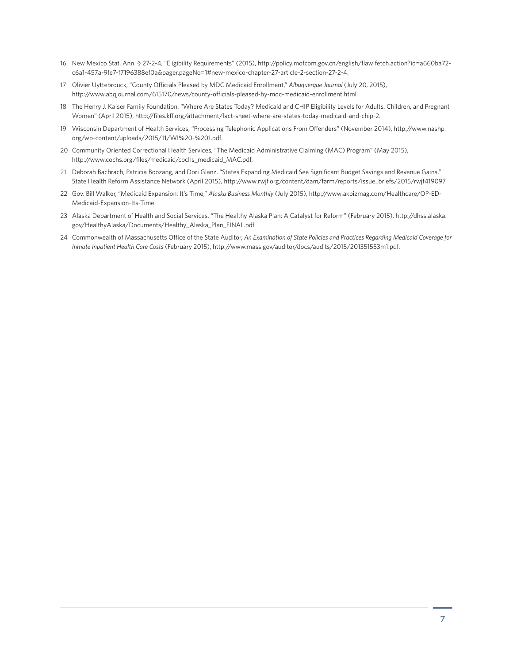- 16 New Mexico Stat. Ann. § 27-2-4, "Eligibility Requirements" (2015), http://policy.mofcom.gov.cn/english/flaw!fetch.action?id=a660ba72 c6a1-457a-9fe7-f7196388ef0a&pager.pageNo=1#new-mexico-chapter-27-article-2-section-27-2-4.
- 17 Olivier Uyttebrouck, "County Officials Pleased by MDC Medicaid Enrollment," *Albuquerque Journal* (July 20, 2015), [http://www.abqjournal.com/615170/news/county-officials-pleased-by-mdc-medicaid-enrollment.html.](http://www.abqjournal.com/615170/news/county-officials-pleased-by-mdc-medicaid-enrollment.html)
- 18 The Henry J. Kaiser Family Foundation, "Where Are States Today? Medicaid and CHIP Eligibility Levels for Adults, Children, and Pregnant Women" (April 2015), [http://files.kff.org/attachment/fact-sheet-where-are-states-today-medicaid-and-chip-2.](http://files.kff.org/attachment/fact-sheet-where-are-states-today-medicaid-and-chip-2)
- 19 Wisconsin Department of Health Services, "Processing Telephonic Applications From Offenders" (November 2014), [http://www.nashp.](http://www.nashp.org/wp-content/uploads/2015/11/WI%20-%201.pdf) [org/wp-content/uploads/2015/11/WI%20-%201.pdf](http://www.nashp.org/wp-content/uploads/2015/11/WI%20-%201.pdf).
- 20 Community Oriented Correctional Health Services, "The Medicaid Administrative Claiming (MAC) Program" (May 2015), [http://www.cochs.org/files/medicaid/cochs\\_medicaid\\_MAC.pdf](http://www.cochs.org/files/medicaid/cochs_medicaid_MAC.pdf).
- 21 Deborah Bachrach, Patricia Boozang, and Dori Glanz, "States Expanding Medicaid See Significant Budget Savings and Revenue Gains," State Health Reform Assistance Network (April 2015), [http://www.rwjf.org/content/dam/farm/reports/issue\\_briefs/2015/rwjf419097.](http://www.rwjf.org/content/dam/farm/reports/issue_briefs/2015/rwjf419097)
- 22 Gov. Bill Walker, "Medicaid Expansion: It's Time," *Alaska Business Monthly* (July 2015), [http://www.akbizmag.com/Healthcare/OP-ED-](http://www.akbizmag.com/Healthcare/OP-ED-Medicaid-Expansion-Its-Time/)[Medicaid-Expansion-Its-Time](http://www.akbizmag.com/Healthcare/OP-ED-Medicaid-Expansion-Its-Time/).
- 23 Alaska Department of Health and Social Services, "The Healthy Alaska Plan: A Catalyst for Reform" (February 2015), [http://dhss.alaska.](http://dhss.alaska.gov/HealthyAlaska/Documents/Healthy_Alaska_Plan_FINAL.pdf) [gov/HealthyAlaska/Documents/Healthy\\_Alaska\\_Plan\\_FINAL.pdf.](http://dhss.alaska.gov/HealthyAlaska/Documents/Healthy_Alaska_Plan_FINAL.pdf)
- 24 Commonwealth of Massachusetts Office of the State Auditor, *An Examination of State Policies and Practices Regarding Medicaid Coverage for Inmate Inpatient Health Care Costs* (February 2015), [http://www.mass.gov/auditor/docs/audits/2015/201351553m1.pdf.](http://www.mass.gov/auditor/docs/audits/2015/201351553m1.pdf)